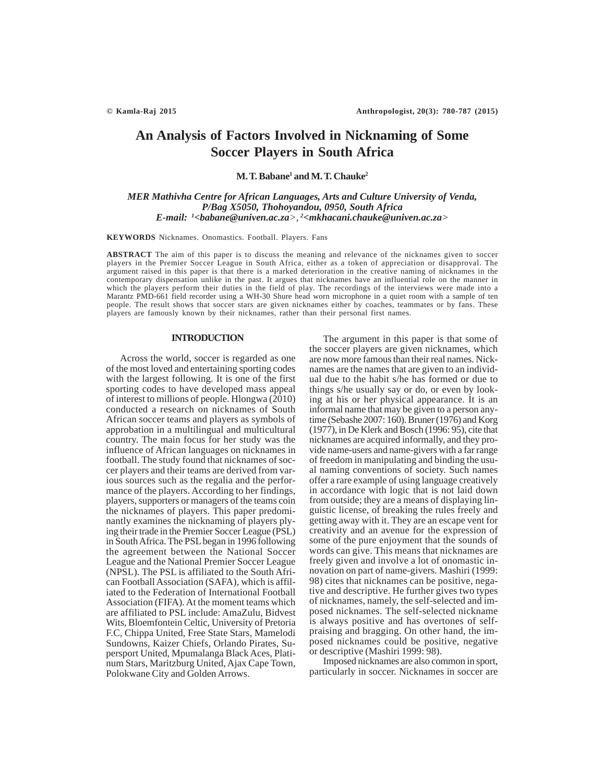# **An Analysis of Factors Involved in Nicknaming of Some Soccer Players in South Africa**

# **M. T. Babane1 and M. T. Chauke2**

# *MER Mathivha Centre for African Languages, Arts and Culture University of Venda, P/Bag X5050, Thohoyandou, 0950, South Africa E-mail: 1 <babane@univen.ac.za>, <sup>2</sup> <mkhacani.chauke@univen.ac.za>*

**KEYWORDS** Nicknames. Onomastics. Football. Players. Fans

**ABSTRACT** The aim of this paper is to discuss the meaning and relevance of the nicknames given to soccer players in the Premier Soccer League in South Africa, either as a token of appreciation or disapproval. The argument raised in this paper is that there is a marked deterioration in the creative naming of nicknames in the contemporary dispensation unlike in the past. It argues that nicknames have an influential role on the manner in which the players perform their duties in the field of play. The recordings of the interviews were made into a Marantz PMD-661 field recorder using a WH-30 Shure head worn microphone in a quiet room with a sample of ten people. The result shows that soccer stars are given nicknames either by coaches, teammates or by fans. These players are famously known by their nicknames, rather than their personal first names.

#### **INTRODUCTION**

Across the world, soccer is regarded as one of the most loved and entertaining sporting codes with the largest following. It is one of the first sporting codes to have developed mass appeal of interest to millions of people. Hlongwa (2010) conducted a research on nicknames of South African soccer teams and players as symbols of approbation in a multilingual and multicultural country. The main focus for her study was the influence of African languages on nicknames in football. The study found that nicknames of soccer players and their teams are derived from various sources such as the regalia and the performance of the players. According to her findings, players, supporters or managers of the teams coin the nicknames of players. This paper predominantly examines the nicknaming of players plying their trade in the Premier Soccer League (PSL) in South Africa. The PSL began in 1996 following the agreement between the National Soccer League and the National Premier Soccer League (NPSL). The PSL is affiliated to the South African Football Association (SAFA), which is affiliated to the Federation of International Football Association (FIFA). At the moment teams which are affiliated to PSL include: AmaZulu, Bidvest Wits, Bloemfontein Celtic, University of Pretoria F.C, Chippa United, Free State Stars, Mamelodi Sundowns, Kaizer Chiefs, Orlando Pirates, Supersport United, Mpumalanga Black Aces, Platinum Stars, Maritzburg United, Ajax Cape Town, Polokwane City and Golden Arrows.

The argument in this paper is that some of the soccer players are given nicknames, which are now more famous than their real names. Nicknames are the names that are given to an individual due to the habit s/he has formed or due to things s/he usually say or do, or even by looking at his or her physical appearance. It is an informal name that may be given to a person anytime (Sebashe 2007: 160). Bruner (1976) and Korg (1977), in De Klerk and Bosch (1996: 95), cite that nicknames are acquired informally, and they provide name-users and name-givers with a far range of freedom in manipulating and binding the usual naming conventions of society. Such names offer a rare example of using language creatively in accordance with logic that is not laid down from outside; they are a means of displaying linguistic license, of breaking the rules freely and getting away with it. They are an escape vent for creativity and an avenue for the expression of some of the pure enjoyment that the sounds of words can give. This means that nicknames are freely given and involve a lot of onomastic innovation on part of name-givers. Mashiri (1999: 98) cites that nicknames can be positive, negative and descriptive. He further gives two types of nicknames, namely, the self-selected and imposed nicknames. The self-selected nickname is always positive and has overtones of selfpraising and bragging. On other hand, the imposed nicknames could be positive, negative or descriptive (Mashiri 1999: 98).

Imposed nicknames are also common in sport, particularly in soccer. Nicknames in soccer are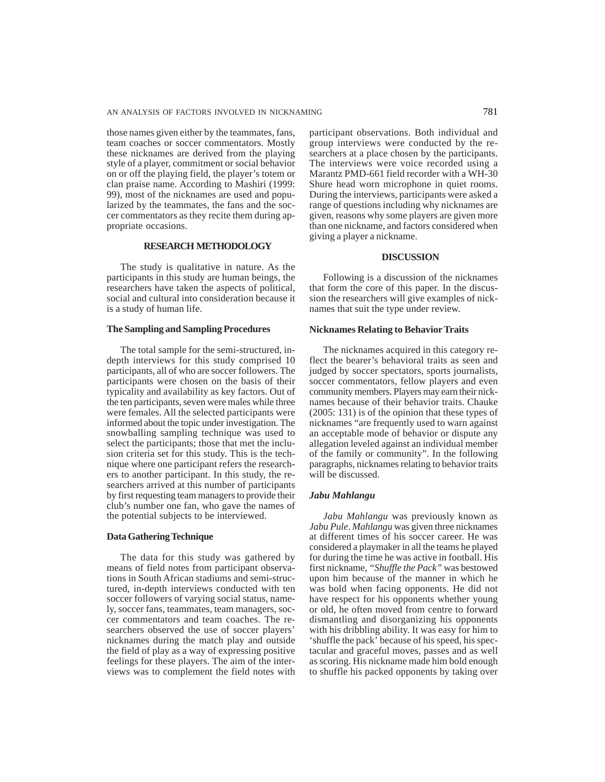those names given either by the teammates, fans, team coaches or soccer commentators. Mostly these nicknames are derived from the playing style of a player, commitment or social behavior on or off the playing field, the player's totem or clan praise name. According to Mashiri (1999: 99), most of the nicknames are used and popularized by the teammates, the fans and the soccer commentators as they recite them during appropriate occasions.

# **RESEARCH METHODOLOGY**

The study is qualitative in nature. As the participants in this study are human beings, the researchers have taken the aspects of political, social and cultural into consideration because it is a study of human life.

# **The Sampling and Sampling Procedures**

The total sample for the semi-structured, indepth interviews for this study comprised 10 participants, all of who are soccer followers. The participants were chosen on the basis of their typicality and availability as key factors. Out of the ten participants, seven were males while three were females. All the selected participants were informed about the topic under investigation. The snowballing sampling technique was used to select the participants; those that met the inclusion criteria set for this study. This is the technique where one participant refers the researchers to another participant. In this study, the researchers arrived at this number of participants by first requesting team managers to provide their club's number one fan, who gave the names of the potential subjects to be interviewed.

# **Data Gathering Technique**

The data for this study was gathered by means of field notes from participant observations in South African stadiums and semi-structured, in-depth interviews conducted with ten soccer followers of varying social status, namely, soccer fans, teammates, team managers, soccer commentators and team coaches. The researchers observed the use of soccer players' nicknames during the match play and outside the field of play as a way of expressing positive feelings for these players. The aim of the interviews was to complement the field notes with participant observations. Both individual and group interviews were conducted by the researchers at a place chosen by the participants. The interviews were voice recorded using a Marantz PMD-661 field recorder with a WH-30 Shure head worn microphone in quiet rooms. During the interviews, participants were asked a range of questions including why nicknames are given, reasons why some players are given more than one nickname, and factors considered when giving a player a nickname.

#### **DISCUSSION**

Following is a discussion of the nicknames that form the core of this paper. In the discussion the researchers will give examples of nicknames that suit the type under review.

#### **Nicknames Relating to Behavior Traits**

The nicknames acquired in this category reflect the bearer's behavioral traits as seen and judged by soccer spectators, sports journalists, soccer commentators, fellow players and even community members. Players may earn their nicknames because of their behavior traits. Chauke (2005: 131) is of the opinion that these types of nicknames "are frequently used to warn against an acceptable mode of behavior or dispute any allegation leveled against an individual member of the family or community". In the following paragraphs, nicknames relating to behavior traits will be discussed.

# *Jabu Mahlangu*

*Jabu Mahlangu* was previously known as *Jabu Pule*. *Mahlangu* was given three nicknames at different times of his soccer career. He was considered a playmaker in all the teams he played for during the time he was active in football. His first nickname, *"Shuffle the Pack"* was bestowed upon him because of the manner in which he was bold when facing opponents. He did not have respect for his opponents whether young or old, he often moved from centre to forward dismantling and disorganizing his opponents with his dribbling ability. It was easy for him to 'shuffle the pack' because of his speed, his spectacular and graceful moves, passes and as well as scoring. His nickname made him bold enough to shuffle his packed opponents by taking over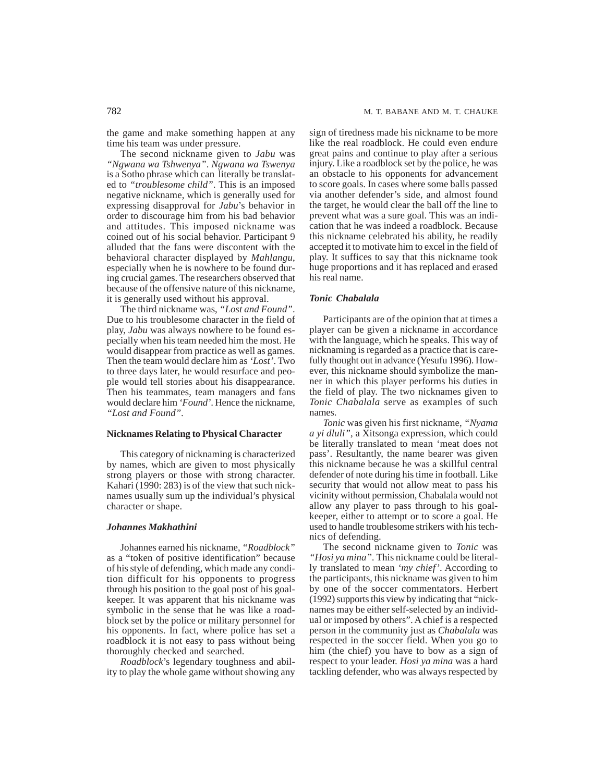the game and make something happen at any time his team was under pressure.

The second nickname given to *Jabu* was *"Ngwana wa Tshwenya"*. *Ngwana wa Tswenya* is a Sotho phrase which can literally be translated to *"troublesome child"*. This is an imposed negative nickname, which is generally used for expressing disapproval for *Jabu*'s behavior in order to discourage him from his bad behavior and attitudes. This imposed nickname was coined out of his social behavior. Participant 9 alluded that the fans were discontent with the behavioral character displayed by *Mahlangu*, especially when he is nowhere to be found during crucial games. The researchers observed that because of the offensive nature of this nickname, it is generally used without his approval.

The third nickname was, *"Lost and Found"*. Due to his troublesome character in the field of play, *Jabu* was always nowhere to be found especially when his team needed him the most. He would disappear from practice as well as games. Then the team would declare him as *'Lost'*. Two to three days later, he would resurface and people would tell stories about his disappearance. Then his teammates, team managers and fans would declare him *'Found'*. Hence the nickname, *"Lost and Found".*

# **Nicknames Relating to Physical Character**

This category of nicknaming is characterized by names, which are given to most physically strong players or those with strong character. Kahari (1990: 283) is of the view that such nicknames usually sum up the individual's physical character or shape.

#### *Johannes Makhathini*

Johannes earned his nickname, *"Roadblock"* as a "token of positive identification" because of his style of defending, which made any condition difficult for his opponents to progress through his position to the goal post of his goalkeeper. It was apparent that his nickname was symbolic in the sense that he was like a roadblock set by the police or military personnel for his opponents. In fact, where police has set a roadblock it is not easy to pass without being thoroughly checked and searched.

*Roadblock*'s legendary toughness and ability to play the whole game without showing any sign of tiredness made his nickname to be more like the real roadblock. He could even endure great pains and continue to play after a serious injury. Like a roadblock set by the police, he was an obstacle to his opponents for advancement to score goals. In cases where some balls passed via another defender's side, and almost found the target, he would clear the ball off the line to prevent what was a sure goal. This was an indication that he was indeed a roadblock. Because this nickname celebrated his ability, he readily accepted it to motivate him to excel in the field of play. It suffices to say that this nickname took huge proportions and it has replaced and erased his real name.

# *Tonic Chabalala*

Participants are of the opinion that at times a player can be given a nickname in accordance with the language, which he speaks. This way of nicknaming is regarded as a practice that is carefully thought out in advance (Yesufu 1996). However, this nickname should symbolize the manner in which this player performs his duties in the field of play. The two nicknames given to *Tonic Chabalala* serve as examples of such names.

*Tonic* was given his first nickname, *"Nyama a yi dluli"*, a Xitsonga expression, which could be literally translated to mean 'meat does not pass'. Resultantly, the name bearer was given this nickname because he was a skillful central defender of note during his time in football. Like security that would not allow meat to pass his vicinity without permission, Chabalala would not allow any player to pass through to his goalkeeper, either to attempt or to score a goal. He used to handle troublesome strikers with his technics of defending.

The second nickname given to *Tonic* was *"Hosi ya mina".* This nickname could be literally translated to mean *'my chief'*. According to the participants, this nickname was given to him by one of the soccer commentators. Herbert (1992) supports this view by indicating that "nicknames may be either self-selected by an individual or imposed by others". A chief is a respected person in the community just as *Chabalala* was respected in the soccer field. When you go to him (the chief) you have to bow as a sign of respect to your leader. *Hosi ya mina* was a hard tackling defender, who was always respected by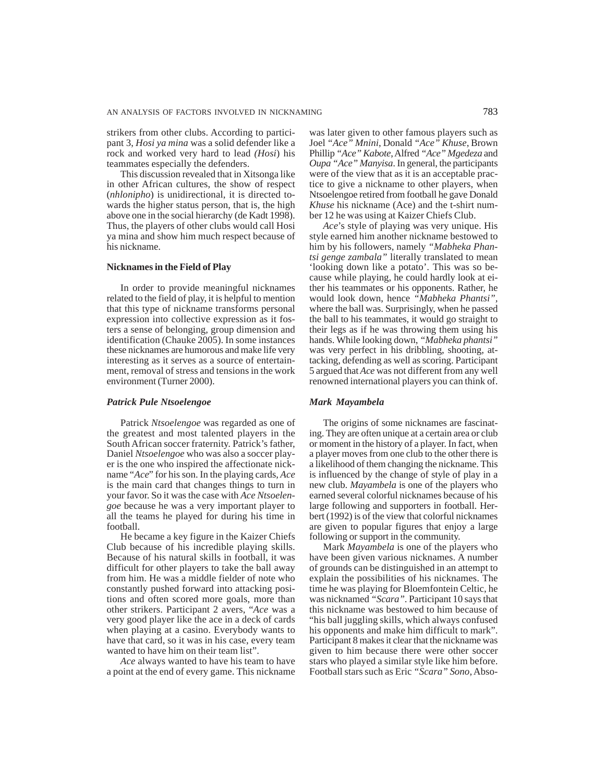strikers from other clubs. According to participant 3, *Hosi ya mina* was a solid defender like a rock and worked very hard to lead *(Hosi*) his teammates especially the defenders.

This discussion revealed that in Xitsonga like in other African cultures, the show of respect (*nhlonipho*) is unidirectional, it is directed towards the higher status person, that is, the high above one in the social hierarchy (de Kadt 1998). Thus, the players of other clubs would call Hosi ya mina and show him much respect because of his nickname.

#### **Nicknames in the Field of Play**

In order to provide meaningful nicknames related to the field of play, it is helpful to mention that this type of nickname transforms personal expression into collective expression as it fosters a sense of belonging, group dimension and identification (Chauke 2005). In some instances these nicknames are humorous and make life very interesting as it serves as a source of entertainment, removal of stress and tensions in the work environment (Turner 2000).

# *Patrick Pule Ntsoelengoe*

Patrick *Ntsoelengoe* was regarded as one of the greatest and most talented players in the South African soccer fraternity. Patrick's father, Daniel *Ntsoelengoe* who was also a soccer player is the one who inspired the affectionate nickname "*Ace*" for his son. In the playing cards, *Ace* is the main card that changes things to turn in your favor. So it was the case with *Ace Ntsoelengoe* because he was a very important player to all the teams he played for during his time in football.

He became a key figure in the Kaizer Chiefs Club because of his incredible playing skills. Because of his natural skills in football, it was difficult for other players to take the ball away from him. He was a middle fielder of note who constantly pushed forward into attacking positions and often scored more goals, more than other strikers. Participant 2 avers, "*Ace* was a very good player like the ace in a deck of cards when playing at a casino. Everybody wants to have that card, so it was in his case, every team wanted to have him on their team list".

*Ace* always wanted to have his team to have a point at the end of every game. This nickname was later given to other famous players such as Joel *"Ace" Mnini*, Donald *"Ace" Khuse*, Brown Phillip *"Ace" Kabote*, Alfred *"Ace" Mgedeza* and *Oupa "Ace" Manyisa*. In general, the participants were of the view that as it is an acceptable practice to give a nickname to other players, when Ntsoelengoe retired from football he gave Donald *Khuse* his nickname (Ace) and the t-shirt number 12 he was using at Kaizer Chiefs Club.

*Ace*'s style of playing was very unique. His style earned him another nickname bestowed to him by his followers, namely *"Mabheka Phantsi genge zambala"* literally translated to mean 'looking down like a potato'. This was so because while playing, he could hardly look at either his teammates or his opponents. Rather, he would look down, hence *"Mabheka Phantsi",* where the ball was. Surprisingly, when he passed the ball to his teammates, it would go straight to their legs as if he was throwing them using his hands. While looking down, *"Mabheka phantsi"* was very perfect in his dribbling, shooting, attacking, defending as well as scoring. Participant 5 argued that *Ace* was not different from any well renowned international players you can think of.

#### *Mark Mayambela*

The origins of some nicknames are fascinating. They are often unique at a certain area or club or moment in the history of a player. In fact, when a player moves from one club to the other there is a likelihood of them changing the nickname. This is influenced by the change of style of play in a new club. *Mayambela* is one of the players who earned several colorful nicknames because of his large following and supporters in football. Herbert (1992) is of the view that colorful nicknames are given to popular figures that enjoy a large following or support in the community.

Mark *Mayambela* is one of the players who have been given various nicknames. A number of grounds can be distinguished in an attempt to explain the possibilities of his nicknames. The time he was playing for Bloemfontein Celtic, he was nicknamed *"Scara"*. Participant 10 says that this nickname was bestowed to him because of "his ball juggling skills, which always confused his opponents and make him difficult to mark". Participant 8 makes it clear that the nickname was given to him because there were other soccer stars who played a similar style like him before. Football stars such as Eric *"Scara" Sono*, Abso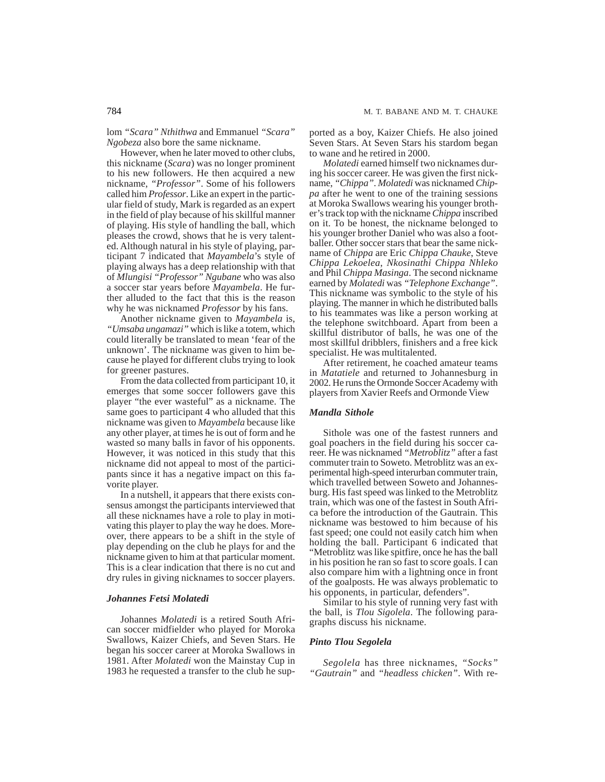lom *"Scara" Nthithwa* and Emmanuel *"Scara" Ngobeza* also bore the same nickname.

However, when he later moved to other clubs, this nickname (*Scara*) was no longer prominent to his new followers. He then acquired a new nickname, *"Professor"*. Some of his followers called him *Professor*. Like an expert in the particular field of study, Mark is regarded as an expert in the field of play because of his skillful manner of playing. His style of handling the ball, which pleases the crowd, shows that he is very talented. Although natural in his style of playing, participant 7 indicated that *Mayambela*'s style of playing always has a deep relationship with that of *Mlungisi "Professor" Ngubane* who was also a soccer star years before *Mayambela*. He further alluded to the fact that this is the reason why he was nicknamed *Professor* by his fans.

Another nickname given to *Mayambela* is, *"Umsaba ungamazi"* which is like a totem, which could literally be translated to mean 'fear of the unknown'. The nickname was given to him because he played for different clubs trying to look for greener pastures.

From the data collected from participant 10, it emerges that some soccer followers gave this player "the ever wasteful" as a nickname. The same goes to participant 4 who alluded that this nickname was given to *Mayambela* because like any other player, at times he is out of form and he wasted so many balls in favor of his opponents. However, it was noticed in this study that this nickname did not appeal to most of the participants since it has a negative impact on this favorite player.

In a nutshell, it appears that there exists consensus amongst the participants interviewed that all these nicknames have a role to play in motivating this player to play the way he does. Moreover, there appears to be a shift in the style of play depending on the club he plays for and the nickname given to him at that particular moment. This is a clear indication that there is no cut and dry rules in giving nicknames to soccer players.

#### *Johannes Fetsi Molatedi*

Johannes *Molatedi* is a retired South African soccer midfielder who played for Moroka Swallows, Kaizer Chiefs, and Seven Stars. He began his soccer career at Moroka Swallows in 1981. After *Molatedi* won the Mainstay Cup in 1983 he requested a transfer to the club he supported as a boy, Kaizer Chiefs. He also joined Seven Stars. At Seven Stars his stardom began to wane and he retired in 2000.

*Molatedi* earned himself two nicknames during his soccer career. He was given the first nickname, *"Chippa"*. *Molatedi* was nicknamed *Chippa* after he went to one of the training sessions at Moroka Swallows wearing his younger brother's track top with the nickname *Chippa* inscribed on it. To be honest, the nickname belonged to his younger brother Daniel who was also a footballer. Other soccer stars that bear the same nickname of *Chippa* are Eric *Chippa Chauke*, Steve *Chippa Lekoelea*, *Nkosinathi Chippa Nhleko* and Phil *Chippa Masinga*. The second nickname earned by *Molatedi* was *"Telephone Exchange"*. This nickname was symbolic to the style of his playing. The manner in which he distributed balls to his teammates was like a person working at the telephone switchboard. Apart from been a skillful distributor of balls, he was one of the most skillful dribblers, finishers and a free kick specialist. He was multitalented.

After retirement, he coached amateur teams in *Matatiele* and returned to Johannesburg in 2002. He runs the Ormonde Soccer Academy with players from Xavier Reefs and Ormonde View

# *Mandla Sithole*

Sithole was one of the fastest runners and goal poachers in the field during his soccer career. He was nicknamed *"Metroblitz"* after a fast commuter train to Soweto. Metroblitz was an experimental high-speed interurban commuter train, which travelled between Soweto and Johannesburg. His fast speed was linked to the Metroblitz train, which was one of the fastest in South Africa before the introduction of the Gautrain. This nickname was bestowed to him because of his fast speed; one could not easily catch him when holding the ball. Participant 6 indicated that "Metroblitz was like spitfire, once he has the ball in his position he ran so fast to score goals. I can also compare him with a lightning once in front of the goalposts. He was always problematic to his opponents, in particular, defenders".

Similar to his style of running very fast with the ball, is *Tlou Sigolela*. The following paragraphs discuss his nickname.

# *Pinto Tlou Segolela*

*Segolela* has three nicknames, *"Socks" "Gautrain"* and *"headless chicken"*. With re-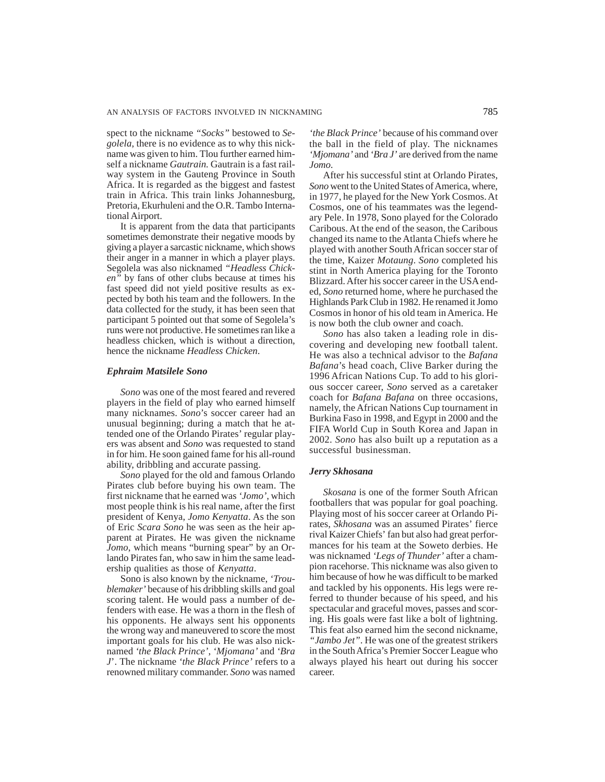spect to the nickname *"Socks"* bestowed to *Segolela*, there is no evidence as to why this nickname was given to him. Tlou further earned himself a nickname *Gautrain.* Gautrain is a fast railway system in the Gauteng Province in South Africa. It is regarded as the biggest and fastest train in Africa. This train links Johannesburg, Pretoria, Ekurhuleni and the O.R. Tambo International Airport.

It is apparent from the data that participants sometimes demonstrate their negative moods by giving a player a sarcastic nickname, which shows their anger in a manner in which a player plays. Segolela was also nicknamed *"Headless Chicken"* by fans of other clubs because at times his fast speed did not yield positive results as expected by both his team and the followers. In the data collected for the study, it has been seen that participant 5 pointed out that some of Segolela's runs were not productive. He sometimes ran like a headless chicken, which is without a direction, hence the nickname *Headless Chicken*.

#### *Ephraim Matsilele Sono*

*Sono* was one of the most feared and revered players in the field of play who earned himself many nicknames. *Sono*'s soccer career had an unusual beginning; during a match that he attended one of the Orlando Pirates' regular players was absent and *Sono* was requested to stand in for him. He soon gained fame for his all-round ability, dribbling and accurate passing.

*Sono* played for the old and famous Orlando Pirates club before buying his own team. The first nickname that he earned was *'Jomo'*, which most people think is his real name, after the first president of Kenya, *Jomo Kenyatta*. As the son of Eric *Scara Sono* he was seen as the heir apparent at Pirates. He was given the nickname *Jomo*, which means "burning spear" by an Orlando Pirates fan, who saw in him the same leadership qualities as those of *Kenyatta*.

Sono is also known by the nickname, *'Troublemaker'* because of his dribbling skills and goal scoring talent. He would pass a number of defenders with ease. He was a thorn in the flesh of his opponents. He always sent his opponents the wrong way and maneuvered to score the most important goals for his club. He was also nicknamed *'the Black Prince'*, *'Mjomana'* and *'Bra J*'. The nickname *'the Black Prince'* refers to a renowned military commander. *Sono* was named

*'the Black Prince'* because of his command over the ball in the field of play. The nicknames *'Mjomana'* and *'Bra J'* are derived from the name *Jomo*.

After his successful stint at Orlando Pirates, *Sono* went to the United States of America, where, in 1977, he played for the New York Cosmos. At Cosmos, one of his teammates was the legendary Pele. In 1978, Sono played for the Colorado Caribous. At the end of the season, the Caribous changed its name to the Atlanta Chiefs where he played with another South African soccer star of the time, Kaizer *Motaung*. *Sono* completed his stint in North America playing for the Toronto Blizzard. After his soccer career in the USA ended, *Sono* returned home, where he purchased the Highlands Park Club in 1982. He renamed it Jomo Cosmos in honor of his old team in America. He is now both the club owner and coach.

*Sono* has also taken a leading role in discovering and developing new football talent. He was also a technical advisor to the *Bafana Bafana*'s head coach, Clive Barker during the 1996 African Nations Cup. To add to his glorious soccer career, *Sono* served as a caretaker coach for *Bafana Bafana* on three occasions, namely, the African Nations Cup tournament in Burkina Faso in 1998, and Egypt in 2000 and the FIFA World Cup in South Korea and Japan in 2002. *Sono* has also built up a reputation as a successful businessman.

### *Jerry Skhosana*

*Skosana* is one of the former South African footballers that was popular for goal poaching. Playing most of his soccer career at Orlando Pirates, *Skhosana* was an assumed Pirates' fierce rival Kaizer Chiefs' fan but also had great performances for his team at the Soweto derbies. He was nicknamed *'Legs of Thunder'* after a champion racehorse. This nickname was also given to him because of how he was difficult to be marked and tackled by his opponents. His legs were referred to thunder because of his speed, and his spectacular and graceful moves, passes and scoring. His goals were fast like a bolt of lightning. This feat also earned him the second nickname, *"Jambo Jet"*. He was one of the greatest strikers in the South Africa's Premier Soccer League who always played his heart out during his soccer career.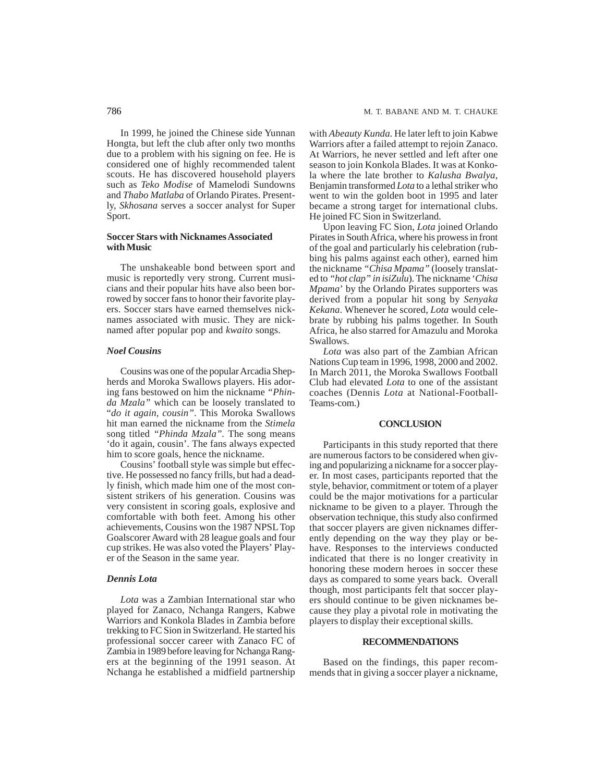In 1999, he joined the Chinese side Yunnan Hongta, but left the club after only two months due to a problem with his signing on fee. He is considered one of highly recommended talent scouts. He has discovered household players such as *Teko Modise* of Mamelodi Sundowns and *Thabo Matlaba* of Orlando Pirates. Presently, *Skhosana* serves a soccer analyst for Super Sport.

# **Soccer Stars with Nicknames Associated with Music**

The unshakeable bond between sport and music is reportedly very strong. Current musicians and their popular hits have also been borrowed by soccer fans to honor their favorite players. Soccer stars have earned themselves nicknames associated with music. They are nicknamed after popular pop and *kwaito* songs.

#### *Noel Cousins*

Cousins was one of the popular Arcadia Shepherds and Moroka Swallows players. His adoring fans bestowed on him the nickname *"Phinda Mzala"* which can be loosely translated to "*do it again, cousin"*. This Moroka Swallows hit man earned the nickname from the *Stimela* song titled *"Phinda Mzala".* The song means 'do it again, cousin'. The fans always expected him to score goals, hence the nickname.

Cousins' football style was simple but effective. He possessed no fancy frills, but had a deadly finish, which made him one of the most consistent strikers of his generation. Cousins was very consistent in scoring goals, explosive and comfortable with both feet. Among his other achievements, Cousins won the 1987 NPSL Top Goalscorer Award with 28 league goals and four cup strikes. He was also voted the Players' Player of the Season in the same year.

#### *Dennis Lota*

*Lota* was a Zambian International star who played for Zanaco, Nchanga Rangers, Kabwe Warriors and Konkola Blades in Zambia before trekking to FC Sion in Switzerland. He started his professional soccer career with Zanaco FC of Zambia in 1989 before leaving for Nchanga Rangers at the beginning of the 1991 season. At Nchanga he established a midfield partnership

with *Abeauty Kunda*. He later left to join Kabwe Warriors after a failed attempt to rejoin Zanaco. At Warriors, he never settled and left after one season to join Konkola Blades. It was at Konkola where the late brother to *Kalusha Bwalya*, Benjamin transformed *Lota* to a lethal striker who went to win the golden boot in 1995 and later became a strong target for international clubs. He joined FC Sion in Switzerland.

Upon leaving FC Sion, *Lota* joined Orlando Pirates in South Africa, where his prowess in front of the goal and particularly his celebration (rubbing his palms against each other), earned him the nickname *"Chisa Mpama"* (loosely translated to *"hot clap" in isiZulu*). The nickname '*Chisa Mpama*' by the Orlando Pirates supporters was derived from a popular hit song by *Senyaka Kekana*. Whenever he scored, *Lota* would celebrate by rubbing his palms together. In South Africa, he also starred for Amazulu and Moroka Swallows.

*Lota* was also part of the Zambian African Nations Cup team in 1996, 1998, 2000 and 2002. In March 2011, the Moroka Swallows Football Club had elevated *Lota* to one of the assistant coaches (Dennis *Lota* at National-Football-Teams-com.)

# **CONCLUSION**

Participants in this study reported that there are numerous factors to be considered when giving and popularizing a nickname for a soccer player. In most cases, participants reported that the style, behavior, commitment or totem of a player could be the major motivations for a particular nickname to be given to a player. Through the observation technique, this study also confirmed that soccer players are given nicknames differently depending on the way they play or behave. Responses to the interviews conducted indicated that there is no longer creativity in honoring these modern heroes in soccer these days as compared to some years back. Overall though, most participants felt that soccer players should continue to be given nicknames because they play a pivotal role in motivating the players to display their exceptional skills.

### **RECOMMENDATIONS**

Based on the findings, this paper recommends that in giving a soccer player a nickname,